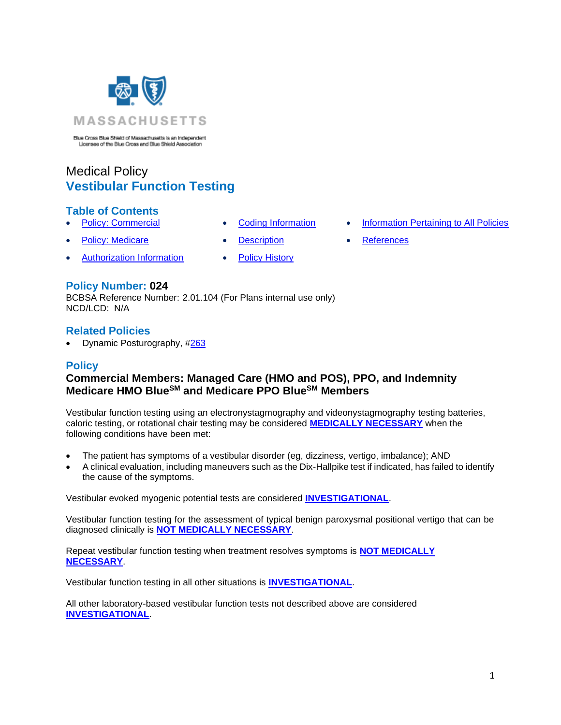

Blue Cross Blue Shield of Massachusetts is an Independent<br>Licensee of the Blue Cross and Blue Shield Association

# Medical Policy **Vestibular Function Testing**

### **Table of Contents**

- 
- **[Policy: Medicare](#page-0-0) [Description](#page-1-1) Description [References](#page-4-1)** 
	-
- [Authorization Information](#page-1-2) [Policy History](#page-4-2)
- 
- **[Policy: Commercial](#page-0-0) [Coding Information](#page-1-0) [Information Pertaining to All Policies](#page-4-0)** 
	-

### **Policy Number: 024**

BCBSA Reference Number: 2.01.104 (For Plans internal use only) NCD/LCD: N/A

### **Related Policies**

<span id="page-0-0"></span>• Dynamic Posturography, [#263](http://www.bluecrossma.org/medical-policies/sites/g/files/csphws2091/files/acquiadam-assets/263%20Dynamic%20Posturography%20prn.pdf)

### **Policy**

## **Commercial Members: Managed Care (HMO and POS), PPO, and Indemnity Medicare HMO BlueSM and Medicare PPO BlueSM Members**

Vestibular function testing using an electronystagmography and videonystagmography testing batteries, caloric testing, or rotational chair testing may be considered **[MEDICALLY NECESSARY](https://www.bluecrossma.org/medical-policies/sites/g/files/csphws2091/files/acquiadam-assets/Definition%20of%20Med%20Nec%20Inv%20Not%20Med%20Nec%20prn.pdf#page=1)** when the following conditions have been met:

- The patient has symptoms of a vestibular disorder (eg, dizziness, vertigo, imbalance); AND
- A clinical evaluation, including maneuvers such as the Dix-Hallpike test if indicated, has failed to identify the cause of the symptoms.

Vestibular evoked myogenic potential tests are considered **[INVESTIGATIONAL](https://www.bluecrossma.org/medical-policies/sites/g/files/csphws2091/files/acquiadam-assets/Definition%20of%20Med%20Nec%20Inv%20Not%20Med%20Nec%20prn.pdf#page=1)**.

Vestibular function testing for the assessment of typical benign paroxysmal positional vertigo that can be diagnosed clinically is **[NOT MEDICALLY NECESSARY](https://www.bluecrossma.org/medical-policies/sites/g/files/csphws2091/files/acquiadam-assets/Definition%20of%20Med%20Nec%20Inv%20Not%20Med%20Nec%20prn.pdf#page=1)**.

Repeat vestibular function testing when treatment resolves symptoms is **[NOT MEDICALLY](https://www.bluecrossma.org/medical-policies/sites/g/files/csphws2091/files/acquiadam-assets/Definition%20of%20Med%20Nec%20Inv%20Not%20Med%20Nec%20prn.pdf#page=1)  [NECESSARY](https://www.bluecrossma.org/medical-policies/sites/g/files/csphws2091/files/acquiadam-assets/Definition%20of%20Med%20Nec%20Inv%20Not%20Med%20Nec%20prn.pdf#page=1)**.

Vestibular function testing in all other situations is **[INVESTIGATIONAL](https://www.bluecrossma.org/medical-policies/sites/g/files/csphws2091/files/acquiadam-assets/Definition%20of%20Med%20Nec%20Inv%20Not%20Med%20Nec%20prn.pdf#page=1)**.

All other laboratory-based vestibular function tests not described above are considered **[INVESTIGATIONAL](https://www.bluecrossma.org/medical-policies/sites/g/files/csphws2091/files/acquiadam-assets/Definition%20of%20Med%20Nec%20Inv%20Not%20Med%20Nec%20prn.pdf#page=1)**.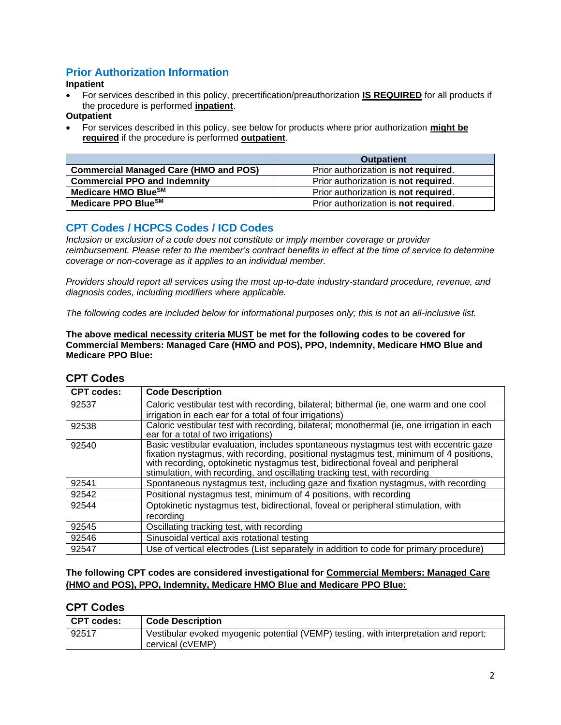# <span id="page-1-2"></span>**Prior Authorization Information**

#### **Inpatient**

• For services described in this policy, precertification/preauthorization **IS REQUIRED** for all products if the procedure is performed **inpatient**.

**Outpatient**

• For services described in this policy, see below for products where prior authorization **might be required** if the procedure is performed **outpatient**.

|                                              | <b>Outpatient</b>                    |
|----------------------------------------------|--------------------------------------|
| <b>Commercial Managed Care (HMO and POS)</b> | Prior authorization is not required. |
| <b>Commercial PPO and Indemnity</b>          | Prior authorization is not required. |
| Medicare HMO BlueSM                          | Prior authorization is not required. |
| Medicare PPO Blue <sup>SM</sup>              | Prior authorization is not required. |

# <span id="page-1-0"></span>**CPT Codes / HCPCS Codes / ICD Codes**

*Inclusion or exclusion of a code does not constitute or imply member coverage or provider reimbursement. Please refer to the member's contract benefits in effect at the time of service to determine coverage or non-coverage as it applies to an individual member.*

*Providers should report all services using the most up-to-date industry-standard procedure, revenue, and diagnosis codes, including modifiers where applicable.*

*The following codes are included below for informational purposes only; this is not an all-inclusive list.*

**The above medical necessity criteria MUST be met for the following codes to be covered for Commercial Members: Managed Care (HMO and POS), PPO, Indemnity, Medicare HMO Blue and Medicare PPO Blue:**

| <b>CPT codes:</b> | <b>Code Description</b>                                                                                                                                                                                                                                                                                                                         |
|-------------------|-------------------------------------------------------------------------------------------------------------------------------------------------------------------------------------------------------------------------------------------------------------------------------------------------------------------------------------------------|
| 92537             | Caloric vestibular test with recording, bilateral; bithermal (ie, one warm and one cool<br>irrigation in each ear for a total of four irrigations)                                                                                                                                                                                              |
| 92538             | Caloric vestibular test with recording, bilateral; monothermal (ie, one irrigation in each<br>ear for a total of two irrigations)                                                                                                                                                                                                               |
| 92540             | Basic vestibular evaluation, includes spontaneous nystagmus test with eccentric gaze<br>fixation nystagmus, with recording, positional nystagmus test, minimum of 4 positions,<br>with recording, optokinetic nystagmus test, bidirectional foveal and peripheral<br>stimulation, with recording, and oscillating tracking test, with recording |
| 92541             | Spontaneous nystagmus test, including gaze and fixation nystagmus, with recording                                                                                                                                                                                                                                                               |
| 92542             | Positional nystagmus test, minimum of 4 positions, with recording                                                                                                                                                                                                                                                                               |
| 92544             | Optokinetic nystagmus test, bidirectional, foveal or peripheral stimulation, with<br>recordina                                                                                                                                                                                                                                                  |
| 92545             | Oscillating tracking test, with recording                                                                                                                                                                                                                                                                                                       |
| 92546             | Sinusoidal vertical axis rotational testing                                                                                                                                                                                                                                                                                                     |
| 92547             | Use of vertical electrodes (List separately in addition to code for primary procedure)                                                                                                                                                                                                                                                          |

# **CPT Codes**

### **The following CPT codes are considered investigational for Commercial Members: Managed Care (HMO and POS), PPO, Indemnity, Medicare HMO Blue and Medicare PPO Blue:**

### <span id="page-1-1"></span>**CPT Codes**

| CPT codes: | <b>Code Description</b>                                                                                  |
|------------|----------------------------------------------------------------------------------------------------------|
| 92517      | Vestibular evoked myogenic potential (VEMP) testing, with interpretation and report;<br>cervical (cVEMP) |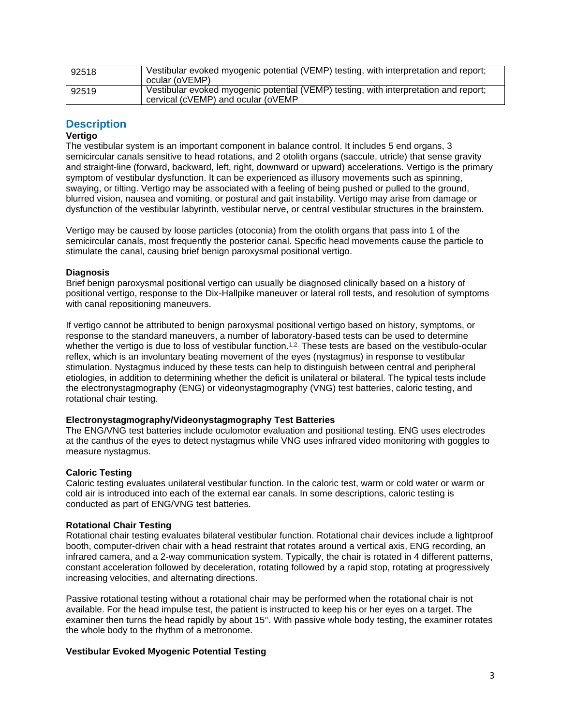| 92518 | Vestibular evoked myogenic potential (VEMP) testing, with interpretation and report;<br>ocular (oVEMP)                     |
|-------|----------------------------------------------------------------------------------------------------------------------------|
| 92519 | Vestibular evoked myogenic potential (VEMP) testing, with interpretation and report;<br>cervical (cVEMP) and ocular (oVEMP |

### **Description**

#### **Vertigo**

The vestibular system is an important component in balance control. It includes 5 end organs, 3 semicircular canals sensitive to head rotations, and 2 otolith organs (saccule, utricle) that sense gravity and straight-line (forward, backward, left, right, downward or upward) accelerations. Vertigo is the primary symptom of vestibular dysfunction. It can be experienced as illusory movements such as spinning, swaying, or tilting. Vertigo may be associated with a feeling of being pushed or pulled to the ground, blurred vision, nausea and vomiting, or postural and gait instability. Vertigo may arise from damage or dysfunction of the vestibular labyrinth, vestibular nerve, or central vestibular structures in the brainstem.

Vertigo may be caused by loose particles (otoconia) from the otolith organs that pass into 1 of the semicircular canals, most frequently the posterior canal. Specific head movements cause the particle to stimulate the canal, causing brief benign paroxysmal positional vertigo.

#### **Diagnosis**

Brief benign paroxysmal positional vertigo can usually be diagnosed clinically based on a history of positional vertigo, response to the Dix-Hallpike maneuver or lateral roll tests, and resolution of symptoms with canal repositioning maneuvers.

If vertigo cannot be attributed to benign paroxysmal positional vertigo based on history, symptoms, or response to the standard maneuvers, a number of laboratory-based tests can be used to determine whether the vertigo is due to loss of vestibular function.<sup>[1,2,](https://www.evidencepositioningsystem.com/_w_dd94a23675c4f53f4f36817691a5ebe0902f763190ae4085/bcbsa_html/BCBSA/html/_blank)</sup> These tests are based on the vestibulo-ocular reflex, which is an involuntary beating movement of the eyes (nystagmus) in response to vestibular stimulation. Nystagmus induced by these tests can help to distinguish between central and peripheral etiologies, in addition to determining whether the deficit is unilateral or bilateral. The typical tests include the electronystagmography (ENG) or videonystagmography (VNG) test batteries, caloric testing, and rotational chair testing.

#### **Electronystagmography/Videonystagmography Test Batteries**

The ENG/VNG test batteries include oculomotor evaluation and positional testing. ENG uses electrodes at the canthus of the eyes to detect nystagmus while VNG uses infrared video monitoring with goggles to measure nystagmus.

#### **Caloric Testing**

Caloric testing evaluates unilateral vestibular function. In the caloric test, warm or cold water or warm or cold air is introduced into each of the external ear canals. In some descriptions, caloric testing is conducted as part of ENG/VNG test batteries.

#### **Rotational Chair Testing**

Rotational chair testing evaluates bilateral vestibular function. Rotational chair devices include a lightproof booth, computer-driven chair with a head restraint that rotates around a vertical axis, ENG recording, an infrared camera, and a 2-way communication system. Typically, the chair is rotated in 4 different patterns, constant acceleration followed by deceleration, rotating followed by a rapid stop, rotating at progressively increasing velocities, and alternating directions.

Passive rotational testing without a rotational chair may be performed when the rotational chair is not available. For the head impulse test, the patient is instructed to keep his or her eyes on a target. The examiner then turns the head rapidly by about 15°. With passive whole body testing, the examiner rotates the whole body to the rhythm of a metronome.

#### **Vestibular Evoked Myogenic Potential Testing**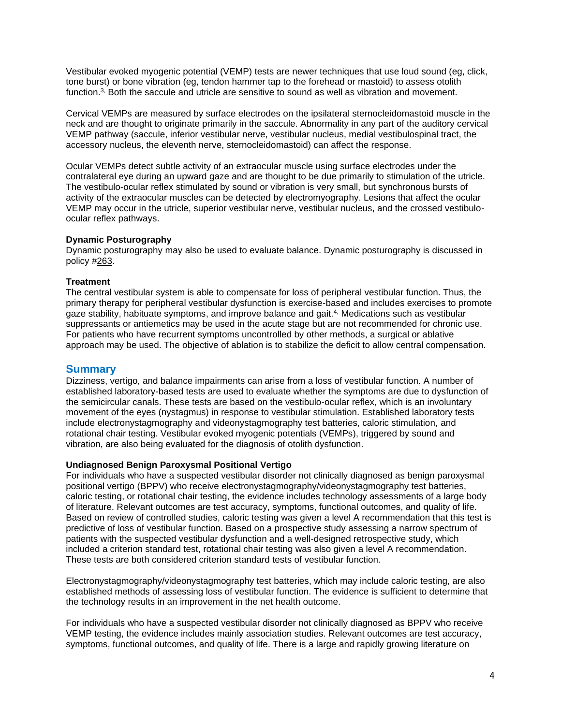Vestibular evoked myogenic potential (VEMP) tests are newer techniques that use loud sound (eg, click, tone burst) or bone vibration (eg, tendon hammer tap to the forehead or mastoid) to assess otolith function.[3,](https://www.evidencepositioningsystem.com/_w_dd94a23675c4f53f4f36817691a5ebe0902f763190ae4085/bcbsa_html/BCBSA/html/_blank) Both the saccule and utricle are sensitive to sound as well as vibration and movement.

Cervical VEMPs are measured by surface electrodes on the ipsilateral sternocleidomastoid muscle in the neck and are thought to originate primarily in the saccule. Abnormality in any part of the auditory cervical VEMP pathway (saccule, inferior vestibular nerve, vestibular nucleus, medial vestibulospinal tract, the accessory nucleus, the eleventh nerve, sternocleidomastoid) can affect the response.

Ocular VEMPs detect subtle activity of an extraocular muscle using surface electrodes under the contralateral eye during an upward gaze and are thought to be due primarily to stimulation of the utricle. The vestibulo-ocular reflex stimulated by sound or vibration is very small, but synchronous bursts of activity of the extraocular muscles can be detected by electromyography. Lesions that affect the ocular VEMP may occur in the utricle, superior vestibular nerve, vestibular nucleus, and the crossed vestibuloocular reflex pathways.

#### **Dynamic Posturography**

Dynamic posturography may also be used to evaluate balance. Dynamic posturography is discussed in policy [#263.](http://www.bluecrossma.org/medical-policies/sites/g/files/csphws2091/files/acquiadam-assets/263%20Dynamic%20Posturography%20prn.pdf)

#### **Treatment**

The central vestibular system is able to compensate for loss of peripheral vestibular function. Thus, the primary therapy for peripheral vestibular dysfunction is exercise-based and includes exercises to promote gaze stability, habituate symptoms, and improve balance and gait.[4,](https://www.evidencepositioningsystem.com/_w_dd94a23675c4f53f4f36817691a5ebe0902f763190ae4085/bcbsa_html/BCBSA/html/_blank) Medications such as vestibular suppressants or antiemetics may be used in the acute stage but are not recommended for chronic use. For patients who have recurrent symptoms uncontrolled by other methods, a surgical or ablative approach may be used. The objective of ablation is to stabilize the deficit to allow central compensation.

### **Summary**

Dizziness, vertigo, and balance impairments can arise from a loss of vestibular function. A number of established laboratory-based tests are used to evaluate whether the symptoms are due to dysfunction of the semicircular canals. These tests are based on the vestibulo-ocular reflex, which is an involuntary movement of the eyes (nystagmus) in response to vestibular stimulation. Established laboratory tests include electronystagmography and videonystagmography test batteries, caloric stimulation, and rotational chair testing. Vestibular evoked myogenic potentials (VEMPs), triggered by sound and vibration, are also being evaluated for the diagnosis of otolith dysfunction.

#### **Undiagnosed Benign Paroxysmal Positional Vertigo**

For individuals who have a suspected vestibular disorder not clinically diagnosed as benign paroxysmal positional vertigo (BPPV) who receive electronystagmography/videonystagmography test batteries, caloric testing, or rotational chair testing, the evidence includes technology assessments of a large body of literature. Relevant outcomes are test accuracy, symptoms, functional outcomes, and quality of life. Based on review of controlled studies, caloric testing was given a level A recommendation that this test is predictive of loss of vestibular function. Based on a prospective study assessing a narrow spectrum of patients with the suspected vestibular dysfunction and a well-designed retrospective study, which included a criterion standard test, rotational chair testing was also given a level A recommendation. These tests are both considered criterion standard tests of vestibular function.

Electronystagmography/videonystagmography test batteries, which may include caloric testing, are also established methods of assessing loss of vestibular function. The evidence is sufficient to determine that the technology results in an improvement in the net health outcome.

For individuals who have a suspected vestibular disorder not clinically diagnosed as BPPV who receive VEMP testing, the evidence includes mainly association studies. Relevant outcomes are test accuracy, symptoms, functional outcomes, and quality of life. There is a large and rapidly growing literature on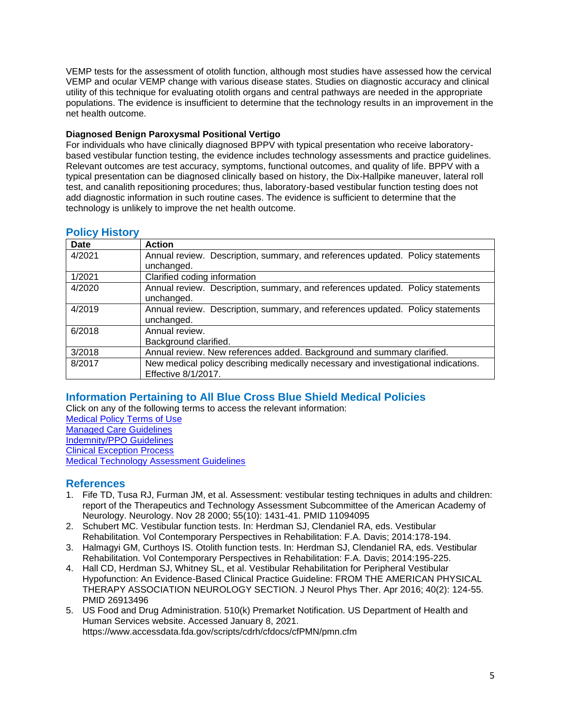VEMP tests for the assessment of otolith function, although most studies have assessed how the cervical VEMP and ocular VEMP change with various disease states. Studies on diagnostic accuracy and clinical utility of this technique for evaluating otolith organs and central pathways are needed in the appropriate populations. The evidence is insufficient to determine that the technology results in an improvement in the net health outcome.

### **Diagnosed Benign Paroxysmal Positional Vertigo**

For individuals who have clinically diagnosed BPPV with typical presentation who receive laboratorybased vestibular function testing, the evidence includes technology assessments and practice guidelines. Relevant outcomes are test accuracy, symptoms, functional outcomes, and quality of life. BPPV with a typical presentation can be diagnosed clinically based on history, the Dix-Hallpike maneuver, lateral roll test, and canalith repositioning procedures; thus, laboratory-based vestibular function testing does not add diagnostic information in such routine cases. The evidence is sufficient to determine that the technology is unlikely to improve the net health outcome.

| .<br>Date | <b>Action</b>                                                                                             |
|-----------|-----------------------------------------------------------------------------------------------------------|
| 4/2021    | Annual review. Description, summary, and references updated. Policy statements<br>unchanged.              |
| 1/2021    | Clarified coding information                                                                              |
| 4/2020    | Annual review. Description, summary, and references updated. Policy statements<br>unchanged.              |
| 4/2019    | Annual review. Description, summary, and references updated. Policy statements<br>unchanged.              |
| 6/2018    | Annual review.<br>Background clarified.                                                                   |
| 3/2018    | Annual review. New references added. Background and summary clarified.                                    |
| 8/2017    | New medical policy describing medically necessary and investigational indications.<br>Effective 8/1/2017. |

### <span id="page-4-2"></span>**Policy History**

# <span id="page-4-0"></span>**[Information Pertaining to All Blue Cross Blue Shield Medical Policies](#page-4-0)**

Click on any of the following terms to access the relevant information: [Medical Policy Terms of Use](http://www.bluecrossma.org/medical-policies/sites/g/files/csphws2091/files/acquiadam-assets/Medical_Policy_Terms_of_Use_prn.pdf)

[Managed Care Guidelines](http://www.bluecrossma.org/medical-policies/sites/g/files/csphws2091/files/acquiadam-assets/Managed_Care_Guidelines_prn.pdf) [Indemnity/PPO Guidelines](http://www.bluecrossma.org/medical-policies/sites/g/files/csphws2091/files/acquiadam-assets/Indemnity_and_PPO_Guidelines_prn.pdf) [Clinical Exception Process](http://www.bluecrossma.org/medical-policies/sites/g/files/csphws2091/files/acquiadam-assets/Clinical_Exception_Process_prn.pdf) [Medical Technology Assessment Guidelines](http://www.bluecrossma.org/medical-policies/sites/g/files/csphws2091/files/acquiadam-assets/Medical_Technology_Assessment_Guidelines_prn.pdf)

### <span id="page-4-1"></span>**References**

- 1. Fife TD, Tusa RJ, Furman JM, et al. Assessment: vestibular testing techniques in adults and children: report of the Therapeutics and Technology Assessment Subcommittee of the American Academy of Neurology. Neurology. Nov 28 2000; 55(10): 1431-41. PMID 11094095
- 2. Schubert MC. Vestibular function tests. In: Herdman SJ, Clendaniel RA, eds. Vestibular Rehabilitation. Vol Contemporary Perspectives in Rehabilitation: F.A. Davis; 2014:178-194.
- 3. Halmagyi GM, Curthoys IS. Otolith function tests. In: Herdman SJ, Clendaniel RA, eds. Vestibular Rehabilitation. Vol Contemporary Perspectives in Rehabilitation: F.A. Davis; 2014:195-225.
- 4. Hall CD, Herdman SJ, Whitney SL, et al. Vestibular Rehabilitation for Peripheral Vestibular Hypofunction: An Evidence-Based Clinical Practice Guideline: FROM THE AMERICAN PHYSICAL THERAPY ASSOCIATION NEUROLOGY SECTION. J Neurol Phys Ther. Apr 2016; 40(2): 124-55. PMID 26913496
- 5. US Food and Drug Administration. 510(k) Premarket Notification. US Department of Health and Human Services website. Accessed January 8, 2021. https://www.accessdata.fda.gov/scripts/cdrh/cfdocs/cfPMN/pmn.cfm